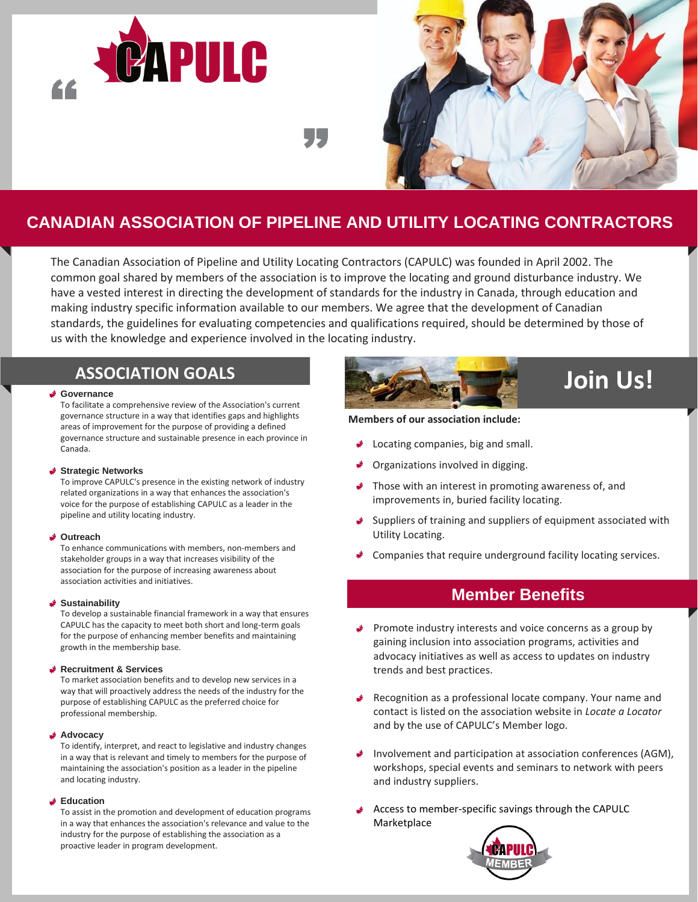



# **CANADIAN ASSOCIATION OF PIPELINE AND UTILITY LOCATING CONTRACTORS**

The Canadian Association of Pipeline and Utility Locating Contractors (CAPULC) was founded in April 2002. The common goal shared by members of the association is to improve the locating and ground disturbance industry. We have a vested interest in directing the development of standards for the industry in Canada, through education and making industry specific information available to our members. We agree that the development of Canadian standards, the guidelines for evaluating competencies and qualifications required, should be determined by those of us with the knowledge and experience involved in the locating industry.

# **ASSOCIATION GOALS**

#### **Governance**

To facilitate a comprehensive review of the Association's current governance structure in a way that identifies gaps and highlights areas of improvement for the purpose of providing a defined governance structure and sustainable presence in each province in Canada.

#### **Strategic Networks**

To improve CAPULC's presence in the existing network of industry related organizations in a way that enhances the association's voice for the purpose of establishing CAPULC as a leader in the pipeline and utility locating industry.

#### **Outreach**

To enhance communications with members, non-members and stakeholder groups in a way that increases visibility of the association for the purpose of increasing awareness about association activities and initiatives.

## **Sustainability**

To develop a sustainable financial framework in a way that ensures CAPULC has the capacity to meet both short and long-term goals for the purpose of enhancing member benefits and maintaining growth in the membership base.

## **Recruitment & Services**

To market association benefits and to develop new services in a way that will proactively address the needs of the industry for the purpose of establishing CAPULC as the preferred choice for professional membership.

#### **Advocacy**

To identify, interpret, and react to legislative and industry changes in a way that is relevant and timely to members for the purpose of maintaining the association's position as a leader in the pipeline and locating industry.

#### **Education**

To assist in the promotion and development of education programs in a way that enhances the association's relevance and value to the industry for the purpose of establishing the association as a proactive leader in program development.



## **Members of our association include:**

- Locating companies, big and small.
- Organizations involved in digging.
- Those with an interest in promoting awareness of, and improvements in, buried facility locating.
- Suppliers of training and suppliers of equipment associated with Utility Locating.
- Companies that require underground facility locating services.

# **Member Benefits**

- Promote industry interests and voice concerns as a group by gaining inclusion into association programs, activities and advocacy initiatives as well as access to updates on industry trends and best practices.
- Recognition as a professional locate company. Your name and contact is listed on the association website in *Locate a Locator*  and by the use of CAPULC's Member logo.
- Involvement and participation at association conferences (AGM), workshops, special events and seminars to network with peers and industry suppliers.
- Access to member-specific savings through the CAPULC Marketplace

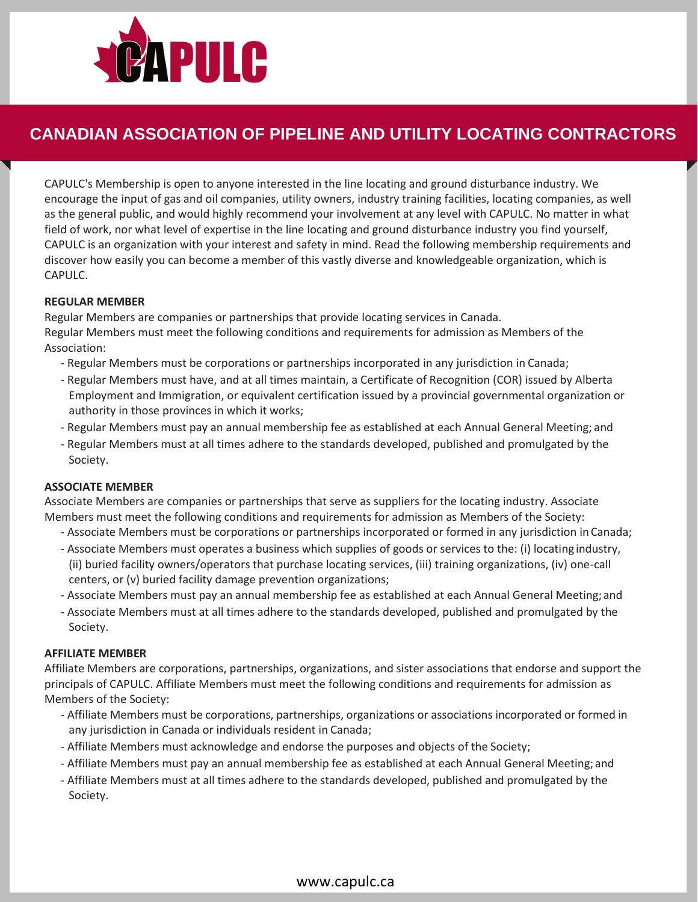

# **CANADIAN ASSOCIATION OF PIPELINE AND UTILITY LOCATING CONTRACTORS**

CAPULC's Membership is open to anyone interested in the line locating and ground disturbance industry. We encourage the input of gas and oil companies, utility owners, industry training facilities, locating companies, as well as the general public, and would highly recommend your involvement at any level with CAPULC. No matter in what field of work, nor what level of expertise in the line locating and ground disturbance industry you find yourself, CAPULC is an organization with your interest and safety in mind. Read the following membership requirements and discover how easily you can become a member of this vastly diverse and knowledgeable organization, which is CAPULC.

# **REGULAR MEMBER**

Regular Members are companies or partnerships that provide locating services in Canada. Regular Members must meet the following conditions and requirements for admission as Members of the Association:

- Regular Members must be corporations or partnerships incorporated in any jurisdiction in Canada;
- Regular Members must have, and at all times maintain, a Certificate of Recognition (COR) issued by Alberta Employment and Immigration, or equivalent certification issued by a provincial governmental organization or authority in those provinces in which it works;
- Regular Members must pay an annual membership fee as established at each Annual General Meeting; and
- Regular Members must at all times adhere to the standards developed, published and promulgated by the Society.

## **ASSOCIATE MEMBER**

Associate Members are companies or partnerships that serve as suppliers for the locating industry. Associate Members must meet the following conditions and requirements for admission as Members of the Society:

- Associate Members must be corporations or partnerships incorporated or formed in any jurisdiction inCanada;
- Associate Members must operates a business which supplies of goods or services to the: (i) locating industry, (ii) buried facility owners/operators that purchase locating services, (iii) training organizations, (iv) one-call centers, or (v) buried facility damage prevention organizations;
- Associate Members must pay an annual membership fee as established at each Annual General Meeting;and
- Associate Members must at all times adhere to the standards developed, published and promulgated by the Society.

## **AFFILIATE MEMBER**

Affiliate Members are corporations, partnerships, organizations, and sister associations that endorse and support the principals of CAPULC. Affiliate Members must meet the following conditions and requirements for admission as Members of the Society:

- Affiliate Members must be corporations, partnerships, organizations or associations incorporated or formed in any jurisdiction in Canada or individuals resident in Canada;
- Affiliate Members must acknowledge and endorse the purposes and objects of the Society;
- Affiliate Members must pay an annual membership fee as established at each Annual General Meeting; and
- Affiliate Members must at all times adhere to the standards developed, published and promulgated by the Society.

# [www.capulc.ca](http://www.capulc.ca/)